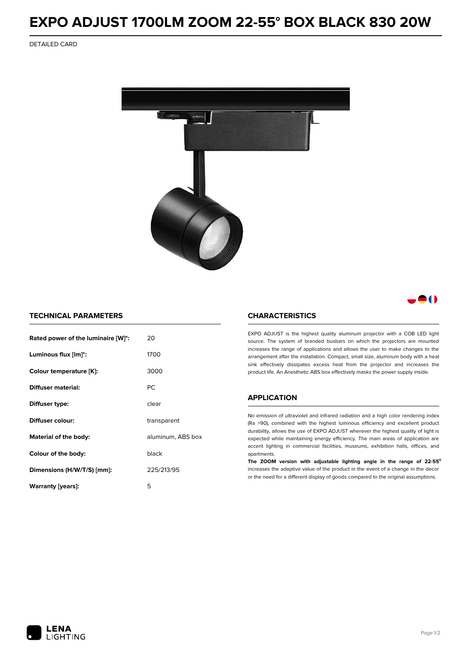# **EXPO ADJUST 1700LM ZOOM 22-55° BOX BLACK 830 20W**

DETAILED CARD



# -0

### **TECHNICAL PARAMETERS**

| Rated power of the luminaire [W]*: | 20                |  |
|------------------------------------|-------------------|--|
| Luminous flux [lm]*:               | 1700              |  |
| Colour temperature [K]:            | 3000              |  |
| Diffuser material:                 | <b>PC</b>         |  |
| Diffuser type:                     | clear             |  |
| Diffuser colour:                   | transparent       |  |
| Material of the body:              | aluminum, ABS box |  |
| Colour of the body:                | black             |  |
| Dimensions (H/W/T/S) [mm]:         | 225/213/95        |  |
| Warranty [years]:                  | 5                 |  |

#### **CHARACTERISTICS**

EXPO ADJUST is the highest quality aluminum projector with a COB LED light source. The system of branded busbars on which the projectors are mounted increases the range of applications and allows the user to make changes to the arrangement after the installation. Compact, small size, aluminum body with a heat sink effectively dissipates excess heat from the projector and increases the product life. An Anesthetic ABS box effectively masks the power supply inside.

## **APPLICATION**

No emission of ultraviolet and infrared radiation and a high color rendering index (Ra >90), combined with the highest luminous efficiency and excellent product durability, allows the use of EXPO ADJUST wherever the highest quality of light is expected while maintaining energy efficiency. The main areas of application are accent lighting in commercial facilities, museums, exhibition halls, offices, and apartments.

**The ZOOM version with adjustable lighting angle in the range of 22-55⁰** increases the adaptive value of the product in the event of a change in the decor or the need for a different display of goods compared to the original assumptions.